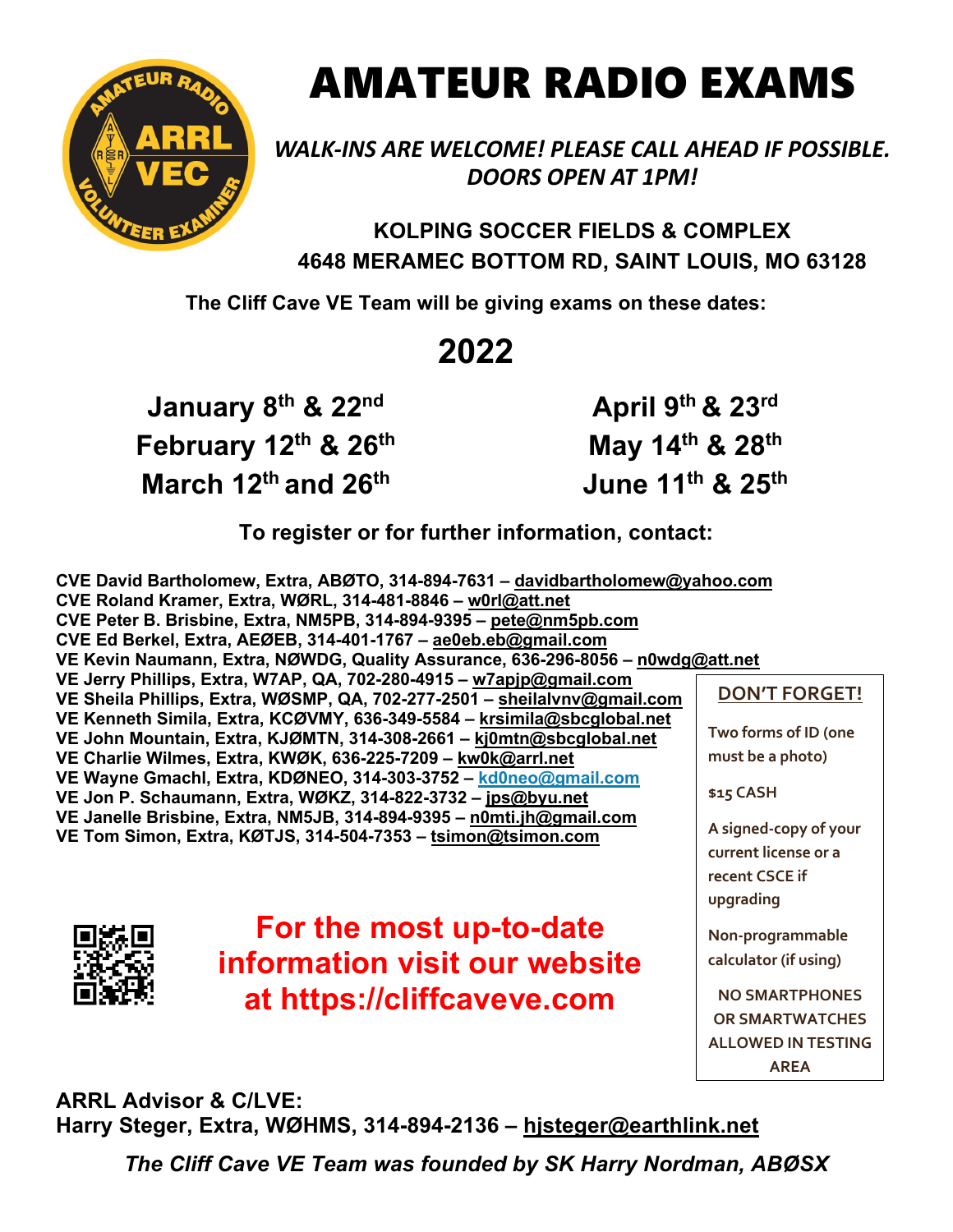

## AMATEUR RADIO EXAMS

*WALK-INS ARE WELCOME! PLEASE CALL AHEAD IF POSSIBLE. DOORS OPEN AT 1PM!*

**KOLPING SOCCER FIELDS & COMPLEX 4648 MERAMEC BOTTOM RD, SAINT LOUIS, MO 63128**

**The Cliff Cave VE Team will be giving exams on these dates:**

## **2022**

**January 8th & 22nd February 12th & 26th March 12th and 26th**

**April 9th & 23rd May 14th & 28th June 11th & 25th**

**To register or for further information, contact:**

**CVE David Bartholomew, Extra, ABØTO, 314-894-7631 – davidbartholomew@yahoo.com CVE Roland Kramer, Extra, WØRL, 314-481-8846 – w0rl@att.net CVE Peter B. Brisbine, Extra, NM5PB, 314-894-9395 – pete@nm5pb.com CVE Ed Berkel, Extra, AEØEB, 314-401-1767 – ae0eb.eb@gmail.com VE Kevin Naumann, Extra, NØWDG, Quality Assurance, 636-296-8056 – n0wdg@att.net VE Jerry Phillips, Extra, W7AP, QA, 702-280-4915 – w7apjp@gmail.com VE Sheila Phillips, Extra, WØSMP, QA, 702-277-2501 – sheilalvnv@gmail.com VE Kenneth Simila, Extra, KCØVMY, 636-349-5584 – krsimila@sbcglobal.net VE John Mountain, Extra, KJØMTN, 314-308-2661 – kj0mtn@sbcglobal.net VE Charlie Wilmes, Extra, KWØK, 636-225-7209 – kw0k@arrl.net VE Wayne Gmachl, Extra, KDØNEO, 314-303-3752 – kd0neo@gmail.com VE Jon P. Schaumann, Extra, WØKZ, 314-822-3732 – jps@byu.net VE Janelle Brisbine, Extra, NM5JB, 314-894-9395 – n0mti.jh@gmail.com VE Tom Simon, Extra, KØTJS, 314-504-7353 – tsimon@tsimon.com DON'T FORGET! Two forms of ID (one must be a photo) \$15 CASH**



**For the most up-to-date information visit our website at https://cliffcaveve.com**

**A signed-copy of your current license or a recent CSCE if upgrading Non-programmable calculator (if using) NO SMARTPHONES OR SMARTWATCHES ALLOWED IN TESTING AREA**

**ARRL Advisor & C/LVE: Harry Steger, Extra, WØHMS, 314-894-2136 – hjsteger@earthlink.net**

*The Cliff Cave VE Team was founded by SK Harry Nordman, ABØSX*